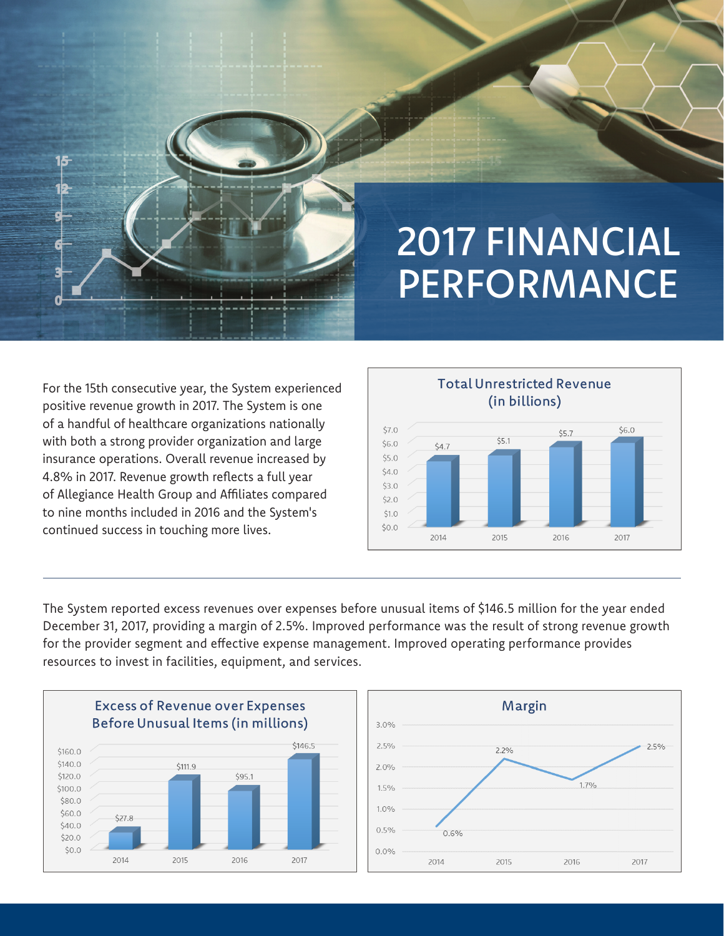

## 2017 FINANCIAL **PERFORMANCE**

For the 15th consecutive year, the System experienced positive revenue growth in 2017. The System is one of a handful of healthcare organizations nationally with both a strong provider organization and large insurance operations. Overall revenue increased by 4.8% in 2017. Revenue growth reflects a full year of Allegiance Health Group and Affiliates compared to nine months included in 2016 and the System's continued success in touching more lives.



The System reported excess revenues over expenses before unusual items of \$146.5 million for the year ended December 31, 2017, providing a margin of 2.5%. Improved performance was the result of strong revenue growth for the provider segment and effective expense management. Improved operating performance provides resources to invest in facilities, equipment, and services.